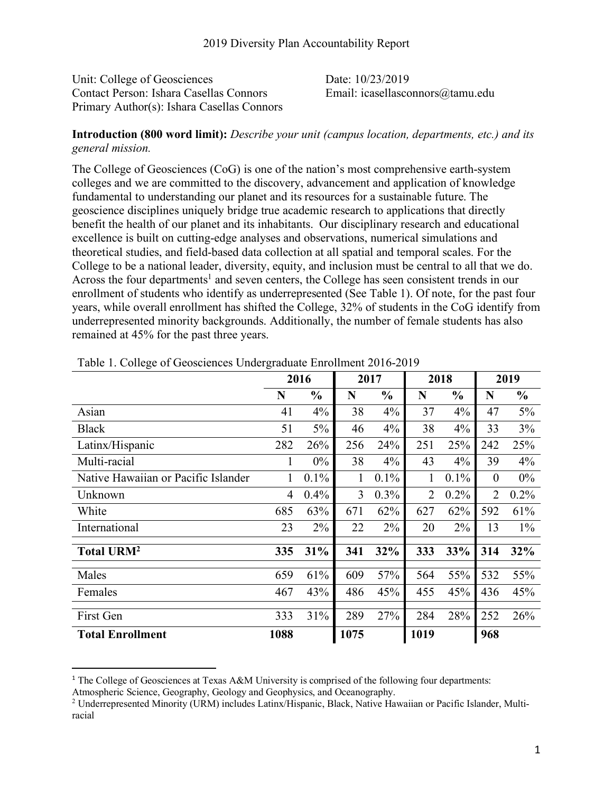Unit: College of Geosciences Date: 10/23/2019 Contact Person: Ishara Casellas Connors Email: icasellasconnors@tamu.edu Primary Author(s): Ishara Casellas Connors

## **Introduction (800 word limit):** *Describe your unit (campus location, departments, etc.) and its general mission.*

The College of Geosciences (CoG) is one of the nation's most comprehensive earth-system colleges and we are committed to the discovery, advancement and application of knowledge fundamental to understanding our planet and its resources for a sustainable future. The geoscience disciplines uniquely bridge true academic research to applications that directly benefit the health of our planet and its inhabitants. Our disciplinary research and educational excellence is built on cutting-edge analyses and observations, numerical simulations and theoretical studies, and field-based data collection at all spatial and temporal scales. For the College to be a national leader, diversity, equity, and inclusion must be central to all that we do. Across the four departments<sup>1</sup> and seven centers, the College has seen consistent trends in our enrollment of students who identify as underrepresented (See Table 1). Of note, for the past four years, while overall enrollment has shifted the College, 32% of students in the CoG identify from underrepresented minority backgrounds. Additionally, the number of female students has also remained at 45% for the past three years.

|                                     | 2016           |               |      | 2017          |                | 2018          | 2019             |               |
|-------------------------------------|----------------|---------------|------|---------------|----------------|---------------|------------------|---------------|
|                                     | N              | $\frac{0}{0}$ | N    | $\frac{0}{0}$ | N              | $\frac{0}{0}$ | N                | $\frac{0}{0}$ |
| Asian                               | 41             | $4\%$         | 38   | $4\%$         | 37             | 4%            | 47               | $5\%$         |
| <b>Black</b>                        | 51             | $5\%$         | 46   | 4%            | 38             | 4%            | 33               | 3%            |
| Latinx/Hispanic                     | 282            | 26%           | 256  | 24%           | 251            | 25%           | 242              | 25%           |
| Multi-racial                        | 1              | $0\%$         | 38   | 4%            | 43             | $4\%$         | 39               | 4%            |
| Native Hawaiian or Pacific Islander |                | $0.1\%$       | 1    | $0.1\%$       | 1              | $0.1\%$       | $\boldsymbol{0}$ | $0\%$         |
| Unknown                             | $\overline{4}$ | 0.4%          | 3    | 0.3%          | $\overline{2}$ | 0.2%          | $\overline{2}$   | 0.2%          |
| White                               | 685            | 63%           | 671  | 62%           | 627            | 62%           | 592              | 61%           |
| International                       | 23             | $2\%$         | 22   | $2\%$         | 20             | $2\%$         | 13               | $1\%$         |
| <b>Total URM<sup>2</sup></b>        | 335            | 31%           | 341  | 32%           | 333            | 33%           | 314              | 32%           |
| Males                               | 659            | 61%           | 609  | 57%           | 564            | 55%           | 532              | 55%           |
| Females                             | 467            | 43%           | 486  | 45%           | 455            | 45%           | 436              | 45%           |
| First Gen                           | 333            | 31%           | 289  | 27%           | 284            | 28%           | 252              | 26%           |
| <b>Total Enrollment</b>             | 1088           |               | 1075 |               | 1019           |               | 968              |               |

|  | Table 1. College of Geosciences Undergraduate Enrollment 2016-2019 |
|--|--------------------------------------------------------------------|
|  |                                                                    |

<sup>&</sup>lt;sup>1</sup> The College of Geosciences at Texas A&M University is comprised of the following four departments:

Atmospheric Science, Geography, Geology and Geophysics, and Oceanography.

<sup>2</sup> Underrepresented Minority (URM) includes Latinx/Hispanic, Black, Native Hawaiian or Pacific Islander, Multiracial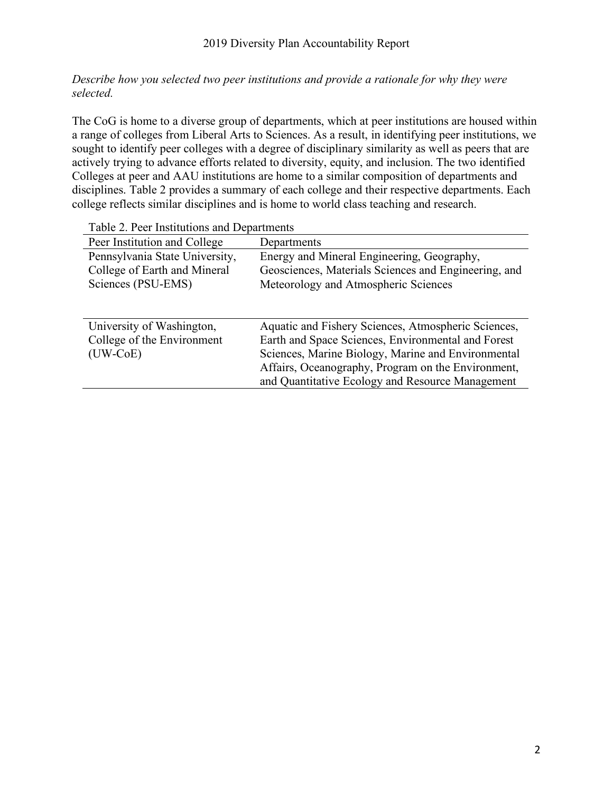# *Describe how you selected two peer institutions and provide a rationale for why they were selected.*

The CoG is home to a diverse group of departments, which at peer institutions are housed within a range of colleges from Liberal Arts to Sciences. As a result, in identifying peer institutions, we sought to identify peer colleges with a degree of disciplinary similarity as well as peers that are actively trying to advance efforts related to diversity, equity, and inclusion. The two identified Colleges at peer and AAU institutions are home to a similar composition of departments and disciplines. Table 2 provides a summary of each college and their respective departments. Each college reflects similar disciplines and is home to world class teaching and research.

| radio 2. I con mistriations and Departments |                                                      |
|---------------------------------------------|------------------------------------------------------|
| Peer Institution and College                | Departments                                          |
| Pennsylvania State University,              | Energy and Mineral Engineering, Geography,           |
| College of Earth and Mineral                | Geosciences, Materials Sciences and Engineering, and |
| Sciences (PSU-EMS)                          | Meteorology and Atmospheric Sciences                 |
|                                             |                                                      |
|                                             |                                                      |
| University of Washington,                   | Aquatic and Fishery Sciences, Atmospheric Sciences,  |
| College of the Environment                  | Earth and Space Sciences, Environmental and Forest   |
| $(UW-CoE)$                                  | Sciences, Marine Biology, Marine and Environmental   |
|                                             | Affairs, Oceanography, Program on the Environment,   |
|                                             | and Quantitative Ecology and Resource Management     |
|                                             |                                                      |

Table 2. Peer Institutions and Departments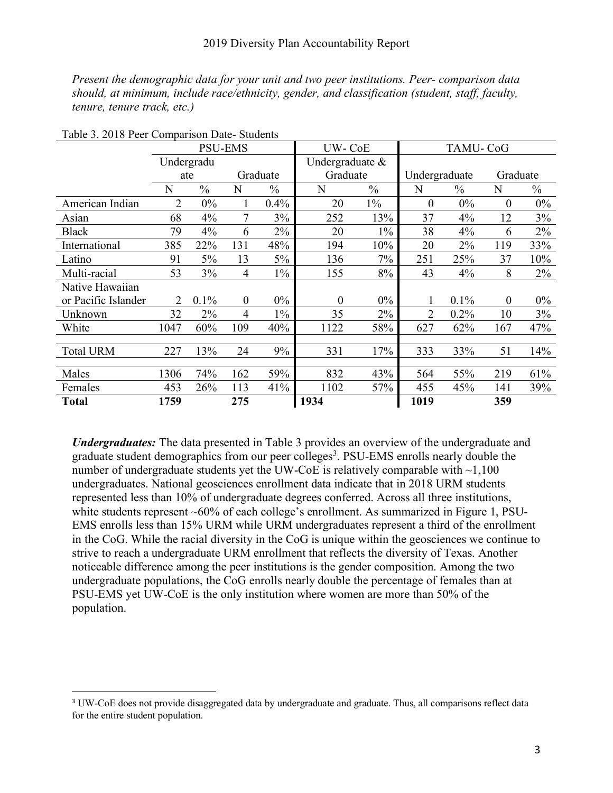#### 2019 Diversity Plan Accountability Report

*Present the demographic data for your unit and two peer institutions. Peer- comparison data should, at minimum, include race/ethnicity, gender, and classification (student, staff, faculty, tenure, tenure track, etc.)*

|                     | <b>PSU-EMS</b> |               |                  | UW-CoE        |                   | TAMU-CoG      |                |               |                  |               |
|---------------------|----------------|---------------|------------------|---------------|-------------------|---------------|----------------|---------------|------------------|---------------|
|                     |                | Undergradu    |                  |               | Undergraduate $&$ |               |                |               |                  |               |
|                     |                | ate           |                  | Graduate      |                   | Graduate      |                | Undergraduate |                  | Graduate      |
|                     | N              | $\frac{0}{0}$ | N                | $\frac{0}{0}$ | N                 | $\frac{0}{0}$ | N              | $\frac{0}{0}$ | N                | $\frac{0}{0}$ |
| American Indian     | $\overline{2}$ | $0\%$         | 1                | 0.4%          | 20                | $1\%$         | $\mathbf{0}$   | $0\%$         | $\overline{0}$   | 0%            |
| Asian               | 68             | 4%            | 7                | 3%            | 252               | 13%           | 37             | $4\%$         | 12               | 3%            |
| <b>Black</b>        | 79             | 4%            | 6                | 2%            | 20                | $1\%$         | 38             | 4%            | 6                | 2%            |
| International       | 385            | 22%           | 131              | 48%           | 194               | 10%           | 20             | 2%            | 119              | 33%           |
| Latino              | 91             | 5%            | 13               | 5%            | 136               | 7%            | 251            | 25%           | 37               | 10%           |
| Multi-racial        | 53             | 3%            | $\overline{4}$   | $1\%$         | 155               | 8%            | 43             | 4%            | 8                | 2%            |
| Native Hawaiian     |                |               |                  |               |                   |               |                |               |                  |               |
| or Pacific Islander | $\overline{2}$ | $0.1\%$       | $\boldsymbol{0}$ | $0\%$         | $\theta$          | $0\%$         |                | $0.1\%$       | $\boldsymbol{0}$ | $0\%$         |
| Unknown             | 32             | 2%            | $\overline{4}$   | $1\%$         | 35                | 2%            | $\overline{2}$ | 0.2%          | 10               | 3%            |
| White               | 1047           | 60%           | 109              | 40%           | 1122              | 58%           | 627            | 62%           | 167              | 47%           |
|                     |                |               |                  |               |                   |               |                |               |                  |               |
| <b>Total URM</b>    | 227            | 13%           | 24               | 9%            | 331               | 17%           | 333            | 33%           | 51               | 14%           |
| Males               | 1306           | 74%           | 162              | 59%           | 832               | 43%           | 564            | 55%           | 219              | 61%           |
| Females             | 453            | 26%           | 113              | 41%           | 1102              | 57%           | 455            | 45%           | 141              | 39%           |
| <b>Total</b>        | 1759           |               | 275              |               | 1934              |               | 1019           |               | 359              |               |

| Table 3. 2018 Peer Comparison Date-Students |  |
|---------------------------------------------|--|
|---------------------------------------------|--|

*Undergraduates:* The data presented in Table 3 provides an overview of the undergraduate and graduate student demographics from our peer colleges<sup>3</sup>. PSU-EMS enrolls nearly double the number of undergraduate students yet the UW-CoE is relatively comparable with  $\sim$ 1,100 undergraduates. National geosciences enrollment data indicate that in 2018 URM students represented less than 10% of undergraduate degrees conferred. Across all three institutions, white students represent ~60% of each college's enrollment. As summarized in Figure 1, PSU-EMS enrolls less than 15% URM while URM undergraduates represent a third of the enrollment in the CoG. While the racial diversity in the CoG is unique within the geosciences we continue to strive to reach a undergraduate URM enrollment that reflects the diversity of Texas. Another noticeable difference among the peer institutions is the gender composition. Among the two undergraduate populations, the CoG enrolls nearly double the percentage of females than at PSU-EMS yet UW-CoE is the only institution where women are more than 50% of the population.

 <sup>3</sup> UW-CoE does not provide disaggregated data by undergraduate and graduate. Thus, all comparisons reflect data for the entire student population.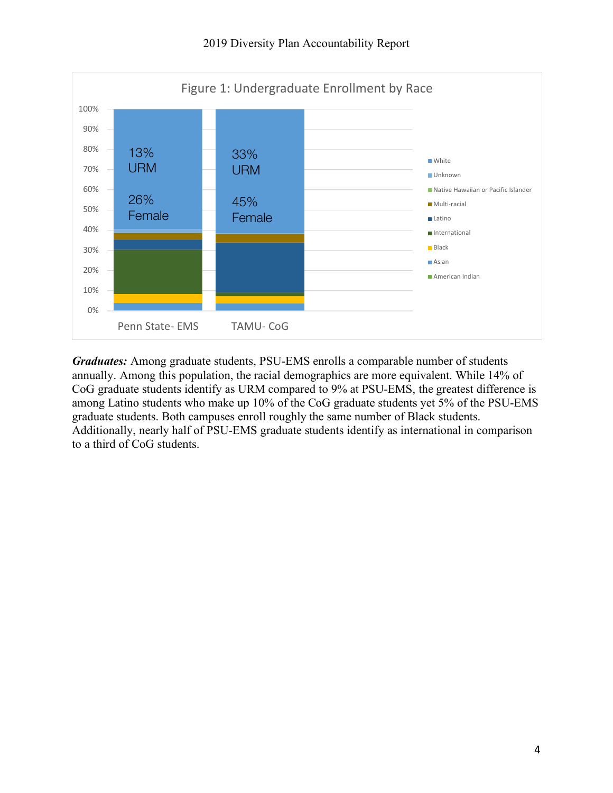



*Graduates:* Among graduate students, PSU-EMS enrolls a comparable number of students annually. Among this population, the racial demographics are more equivalent. While 14% of CoG graduate students identify as URM compared to 9% at PSU-EMS, the greatest difference is among Latino students who make up 10% of the CoG graduate students yet 5% of the PSU-EMS graduate students. Both campuses enroll roughly the same number of Black students. Additionally, nearly half of PSU-EMS graduate students identify as international in comparison to a third of CoG students.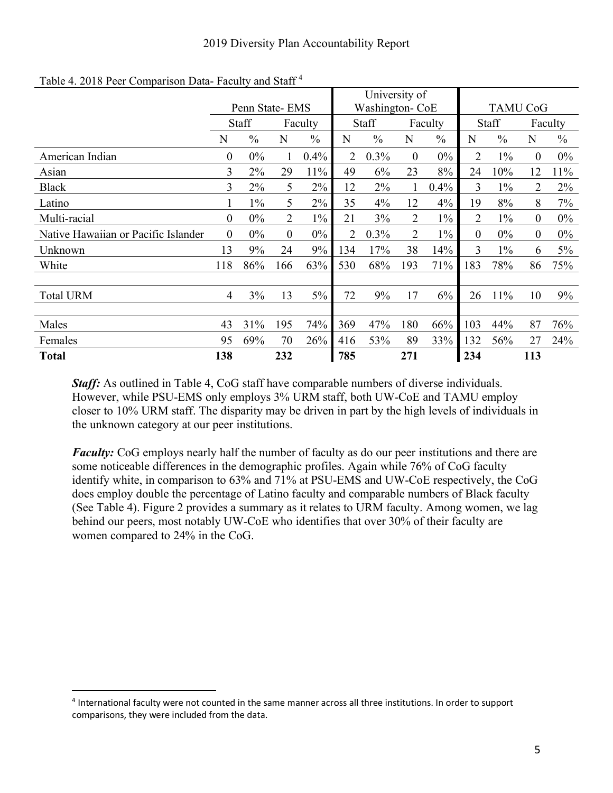|                                     |                |               |                |               |                 | University of |                  |                 |                |               |                |               |
|-------------------------------------|----------------|---------------|----------------|---------------|-----------------|---------------|------------------|-----------------|----------------|---------------|----------------|---------------|
|                                     | Penn State-EMS |               |                |               | Washington- CoE |               |                  | <b>TAMU CoG</b> |                |               |                |               |
|                                     |                | Staff         |                | Faculty       | Staff           |               | Faculty          |                 | Staff          |               | Faculty        |               |
|                                     | N              | $\frac{0}{0}$ | N              | $\frac{0}{0}$ | N               | $\frac{0}{0}$ | N                | $\frac{0}{0}$   | N              | $\frac{0}{0}$ | N              | $\frac{0}{0}$ |
| American Indian                     | $\theta$       | $0\%$         |                | 0.4%          | $\overline{2}$  | 0.3%          | $\boldsymbol{0}$ | $0\%$           | $\overline{2}$ | $1\%$         | $\overline{0}$ | $0\%$         |
| Asian                               | 3              | $2\%$         | 29             | 11%           | 49              | 6%            | 23               | 8%              | 24             | 10%           | 12             | 11%           |
| <b>Black</b>                        | $\overline{3}$ | 2%            | 5              | 2%            | 12              | 2%            | 1                | 0.4%            | $\overline{3}$ | $1\%$         | $\overline{2}$ | $2\%$         |
| Latino                              |                | $1\%$         | 5              | 2%            | 35              | 4%            | 12               | $4\%$           | 19             | 8%            | 8              | 7%            |
| Multi-racial                        | $\mathbf{0}$   | $0\%$         | 2              | $1\%$         | 21              | 3%            | $\overline{2}$   | $1\%$           | 2              | $1\%$         | $\overline{0}$ | $0\%$         |
| Native Hawaiian or Pacific Islander | $\overline{0}$ | $0\%$         | $\overline{0}$ | $0\%$         | 2               | 0.3%          | $\overline{2}$   | $1\%$           | $\mathbf{0}$   | $0\%$         | $\overline{0}$ | $0\%$         |
| Unknown                             | 13             | 9%            | 24             | 9%            | 134             | 17%           | 38               | 14%             | $\overline{3}$ | $1\%$         | 6              | 5%            |
| White                               | 118            | 86%           | 166            | 63%           | 530             | 68%           | 193              | 71%             | 183            | 78%           | 86             | 75%           |
|                                     |                |               |                |               |                 |               |                  |                 |                |               |                |               |
| <b>Total URM</b>                    | $\overline{4}$ | 3%            | 13             | 5%            | 72              | 9%            | 17               | 6%              | 26             | 11%           | 10             | 9%            |
|                                     |                |               |                |               |                 |               |                  |                 |                |               |                |               |
| Males                               | 43             | 31%           | 195            | 74%           | 369             | 47%           | 180              | 66%             | 103            | 44%           | 87             | 76%           |
| Females                             | 95             | 69%           | 70             | 26%           | 416             | 53%           | 89               | 33%             | 132            | 56%           | 27             | 24%           |
| <b>Total</b>                        | 138            |               | 232            |               | 785             |               | 271              |                 | 234            |               | 113            |               |

Table 4. 2018 Peer Comparison Data- Faculty and Staff <sup>4</sup>

*Staff:* As outlined in Table 4, CoG staff have comparable numbers of diverse individuals. However, while PSU-EMS only employs 3% URM staff, both UW-CoE and TAMU employ closer to 10% URM staff. The disparity may be driven in part by the high levels of individuals in the unknown category at our peer institutions.

*Faculty:* CoG employs nearly half the number of faculty as do our peer institutions and there are some noticeable differences in the demographic profiles. Again while 76% of CoG faculty identify white, in comparison to 63% and 71% at PSU-EMS and UW-CoE respectively, the CoG does employ double the percentage of Latino faculty and comparable numbers of Black faculty (See Table 4). Figure 2 provides a summary as it relates to URM faculty. Among women, we lag behind our peers, most notably UW-CoE who identifies that over 30% of their faculty are women compared to 24% in the CoG.

 <sup>4</sup> International faculty were not counted in the same manner across all three institutions. In order to support comparisons, they were included from the data.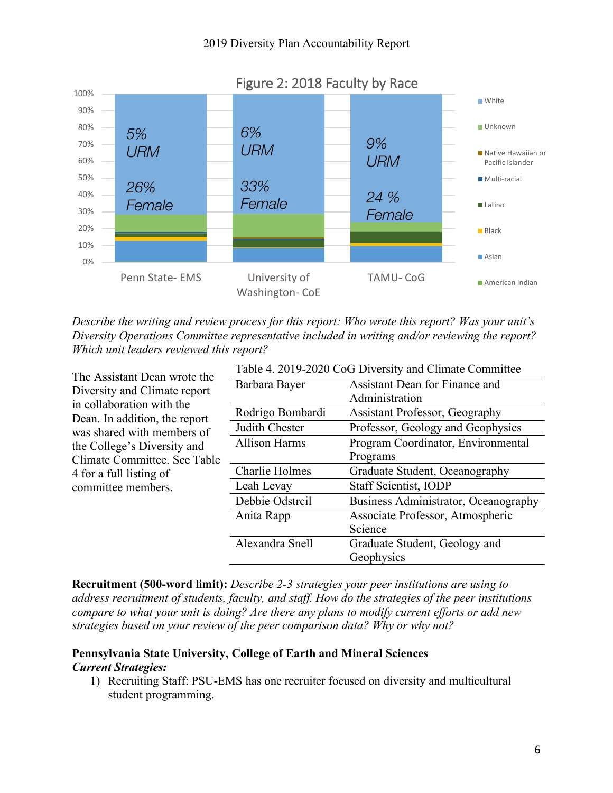## 2019 Diversity Plan Accountability Report



*Describe the writing and review process for this report: Who wrote this report? Was your unit's Diversity Operations Committee representative included in writing and/or reviewing the report? Which unit leaders reviewed this report?*

| The Assistant Dean wrote the  | Table 4. 2019-2020 CoG Diversity and Climate Committee |                                      |  |  |  |  |  |
|-------------------------------|--------------------------------------------------------|--------------------------------------|--|--|--|--|--|
| Diversity and Climate report  | Barbara Bayer                                          | Assistant Dean for Finance and       |  |  |  |  |  |
| in collaboration with the     |                                                        | Administration                       |  |  |  |  |  |
| Dean. In addition, the report | Rodrigo Bombardi                                       | Assistant Professor, Geography       |  |  |  |  |  |
| was shared with members of    | Judith Chester                                         | Professor, Geology and Geophysics    |  |  |  |  |  |
| the College's Diversity and   | <b>Allison Harms</b>                                   | Program Coordinator, Environmental   |  |  |  |  |  |
| Climate Committee. See Table  |                                                        | Programs                             |  |  |  |  |  |
| 4 for a full listing of       | Charlie Holmes                                         | Graduate Student, Oceanography       |  |  |  |  |  |
| committee members.            | Leah Levay                                             | <b>Staff Scientist, IODP</b>         |  |  |  |  |  |
|                               | Debbie Odstrcil                                        | Business Administrator, Oceanography |  |  |  |  |  |
|                               | Anita Rapp                                             | Associate Professor, Atmospheric     |  |  |  |  |  |
|                               |                                                        | Science                              |  |  |  |  |  |
|                               | Alexandra Snell                                        | Graduate Student, Geology and        |  |  |  |  |  |
|                               |                                                        | Geophysics                           |  |  |  |  |  |

**Recruitment (500-word limit):** *Describe 2-3 strategies your peer institutions are using to address recruitment of students, faculty, and staff. How do the strategies of the peer institutions compare to what your unit is doing? Are there any plans to modify current efforts or add new strategies based on your review of the peer comparison data? Why or why not?*

# **Pennsylvania State University, College of Earth and Mineral Sciences** *Current Strategies:*

1) Recruiting Staff: PSU-EMS has one recruiter focused on diversity and multicultural student programming.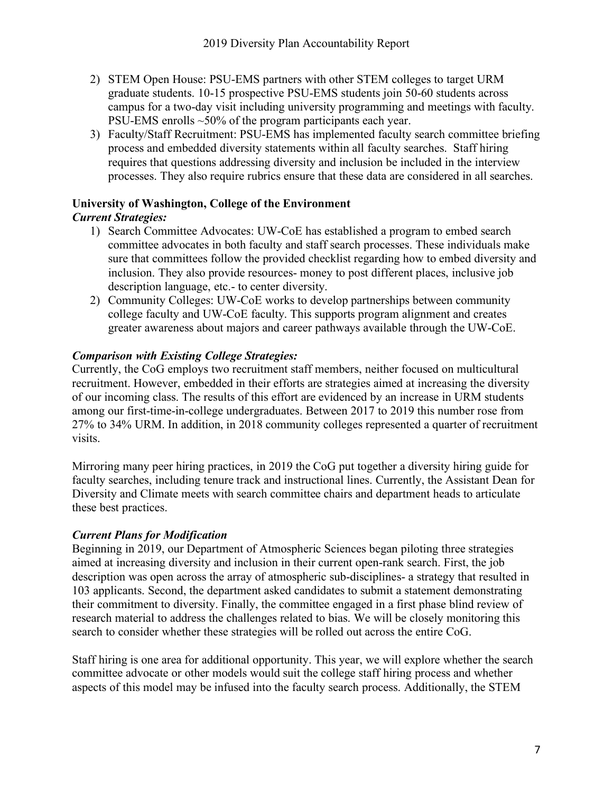- 2) STEM Open House: PSU-EMS partners with other STEM colleges to target URM graduate students. 10-15 prospective PSU-EMS students join 50-60 students across campus for a two-day visit including university programming and meetings with faculty. PSU-EMS enrolls ~50% of the program participants each year.
- 3) Faculty/Staff Recruitment: PSU-EMS has implemented faculty search committee briefing process and embedded diversity statements within all faculty searches. Staff hiring requires that questions addressing diversity and inclusion be included in the interview processes. They also require rubrics ensure that these data are considered in all searches.

# **University of Washington, College of the Environment**

# *Current Strategies:*

- 1) Search Committee Advocates: UW-CoE has established a program to embed search committee advocates in both faculty and staff search processes. These individuals make sure that committees follow the provided checklist regarding how to embed diversity and inclusion. They also provide resources- money to post different places, inclusive job description language, etc.- to center diversity.
- 2) Community Colleges: UW-CoE works to develop partnerships between community college faculty and UW-CoE faculty. This supports program alignment and creates greater awareness about majors and career pathways available through the UW-CoE.

# *Comparison with Existing College Strategies:*

Currently, the CoG employs two recruitment staff members, neither focused on multicultural recruitment. However, embedded in their efforts are strategies aimed at increasing the diversity of our incoming class. The results of this effort are evidenced by an increase in URM students among our first-time-in-college undergraduates. Between 2017 to 2019 this number rose from 27% to 34% URM. In addition, in 2018 community colleges represented a quarter of recruitment visits.

Mirroring many peer hiring practices, in 2019 the CoG put together a diversity hiring guide for faculty searches, including tenure track and instructional lines. Currently, the Assistant Dean for Diversity and Climate meets with search committee chairs and department heads to articulate these best practices.

# *Current Plans for Modification*

Beginning in 2019, our Department of Atmospheric Sciences began piloting three strategies aimed at increasing diversity and inclusion in their current open-rank search. First, the job description was open across the array of atmospheric sub-disciplines- a strategy that resulted in 103 applicants. Second, the department asked candidates to submit a statement demonstrating their commitment to diversity. Finally, the committee engaged in a first phase blind review of research material to address the challenges related to bias. We will be closely monitoring this search to consider whether these strategies will be rolled out across the entire CoG.

Staff hiring is one area for additional opportunity. This year, we will explore whether the search committee advocate or other models would suit the college staff hiring process and whether aspects of this model may be infused into the faculty search process. Additionally, the STEM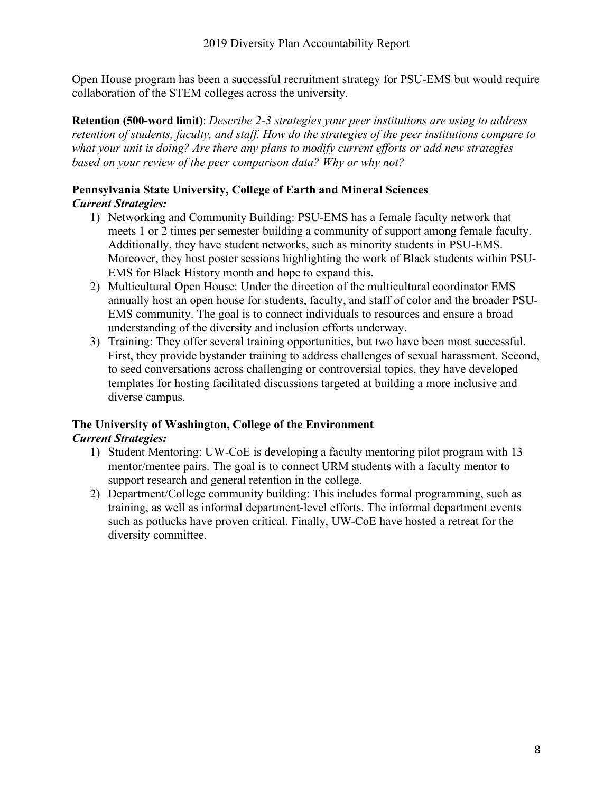Open House program has been a successful recruitment strategy for PSU-EMS but would require collaboration of the STEM colleges across the university.

**Retention (500-word limit)**: *Describe 2-3 strategies your peer institutions are using to address retention of students, faculty, and staff. How do the strategies of the peer institutions compare to what your unit is doing? Are there any plans to modify current efforts or add new strategies based on your review of the peer comparison data? Why or why not?*

# **Pennsylvania State University, College of Earth and Mineral Sciences** *Current Strategies:*

- 1) Networking and Community Building: PSU-EMS has a female faculty network that meets 1 or 2 times per semester building a community of support among female faculty. Additionally, they have student networks, such as minority students in PSU-EMS. Moreover, they host poster sessions highlighting the work of Black students within PSU-EMS for Black History month and hope to expand this.
- 2) Multicultural Open House: Under the direction of the multicultural coordinator EMS annually host an open house for students, faculty, and staff of color and the broader PSU-EMS community. The goal is to connect individuals to resources and ensure a broad understanding of the diversity and inclusion efforts underway.
- 3) Training: They offer several training opportunities, but two have been most successful. First, they provide bystander training to address challenges of sexual harassment. Second, to seed conversations across challenging or controversial topics, they have developed templates for hosting facilitated discussions targeted at building a more inclusive and diverse campus.

# **The University of Washington, College of the Environment**

# *Current Strategies:*

- 1) Student Mentoring: UW-CoE is developing a faculty mentoring pilot program with 13 mentor/mentee pairs. The goal is to connect URM students with a faculty mentor to support research and general retention in the college.
- 2) Department/College community building: This includes formal programming, such as training, as well as informal department-level efforts. The informal department events such as potlucks have proven critical. Finally, UW-CoE have hosted a retreat for the diversity committee.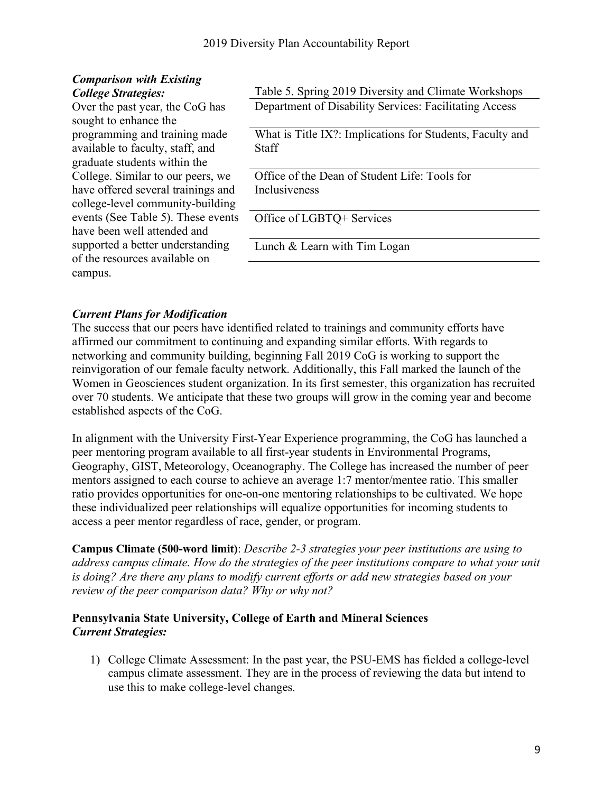#### *Comparison with Existing College Strategies:*

Over the past year, the CoG has sought to enhance the programming and training made available to faculty, staff, and graduate students within the College. Similar to our peers, we have offered several trainings and college-level community-building events (See Table 5). These events have been well attended and supported a better understanding of the resources available on campus.

Table 5. Spring 2019 Diversity and Climate Workshops Department of Disability Services: Facilitating Access

What is Title IX?: Implications for Students, Faculty and Staff

Office of the Dean of Student Life: Tools for Inclusiveness

Office of LGBTQ+ Services

Lunch & Learn with Tim Logan

# *Current Plans for Modification*

The success that our peers have identified related to trainings and community efforts have affirmed our commitment to continuing and expanding similar efforts. With regards to networking and community building, beginning Fall 2019 CoG is working to support the reinvigoration of our female faculty network. Additionally, this Fall marked the launch of the Women in Geosciences student organization. In its first semester, this organization has recruited over 70 students. We anticipate that these two groups will grow in the coming year and become established aspects of the CoG.

In alignment with the University First-Year Experience programming, the CoG has launched a peer mentoring program available to all first-year students in Environmental Programs, Geography, GIST, Meteorology, Oceanography. The College has increased the number of peer mentors assigned to each course to achieve an average 1:7 mentor/mentee ratio. This smaller ratio provides opportunities for one-on-one mentoring relationships to be cultivated. We hope these individualized peer relationships will equalize opportunities for incoming students to access a peer mentor regardless of race, gender, or program.

**Campus Climate (500-word limit)**: *Describe 2-3 strategies your peer institutions are using to address campus climate. How do the strategies of the peer institutions compare to what your unit is doing? Are there any plans to modify current efforts or add new strategies based on your review of the peer comparison data? Why or why not?*

# **Pennsylvania State University, College of Earth and Mineral Sciences** *Current Strategies:*

1) College Climate Assessment: In the past year, the PSU-EMS has fielded a college-level campus climate assessment. They are in the process of reviewing the data but intend to use this to make college-level changes.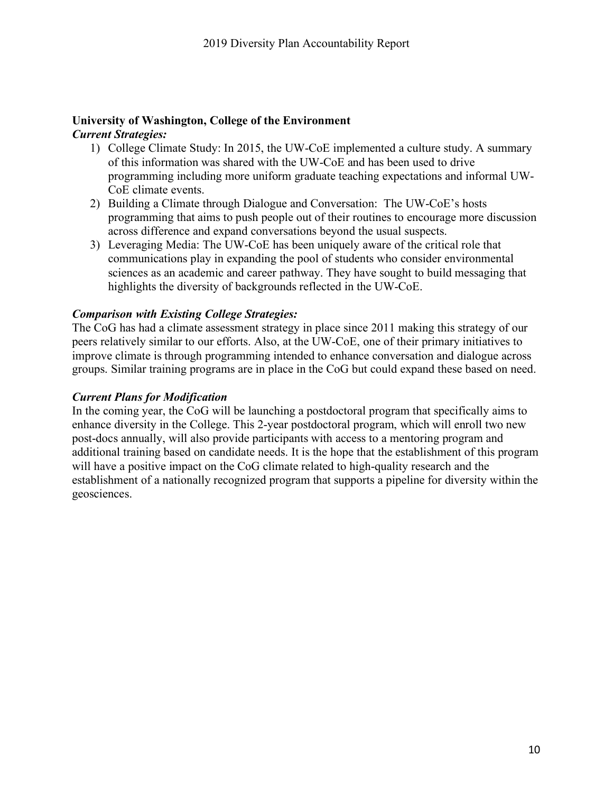#### **University of Washington, College of the Environment**  *Current Strategies:*

- 1) College Climate Study: In 2015, the UW-CoE implemented a culture study. A summary of this information was shared with the UW-CoE and has been used to drive programming including more uniform graduate teaching expectations and informal UW-CoE climate events.
- 2) Building a Climate through Dialogue and Conversation: The UW-CoE's hosts programming that aims to push people out of their routines to encourage more discussion across difference and expand conversations beyond the usual suspects.
- 3) Leveraging Media: The UW-CoE has been uniquely aware of the critical role that communications play in expanding the pool of students who consider environmental sciences as an academic and career pathway. They have sought to build messaging that highlights the diversity of backgrounds reflected in the UW-CoE.

# *Comparison with Existing College Strategies:*

The CoG has had a climate assessment strategy in place since 2011 making this strategy of our peers relatively similar to our efforts. Also, at the UW-CoE, one of their primary initiatives to improve climate is through programming intended to enhance conversation and dialogue across groups. Similar training programs are in place in the CoG but could expand these based on need.

# *Current Plans for Modification*

In the coming year, the CoG will be launching a postdoctoral program that specifically aims to enhance diversity in the College. This 2-year postdoctoral program, which will enroll two new post-docs annually, will also provide participants with access to a mentoring program and additional training based on candidate needs. It is the hope that the establishment of this program will have a positive impact on the CoG climate related to high-quality research and the establishment of a nationally recognized program that supports a pipeline for diversity within the geosciences.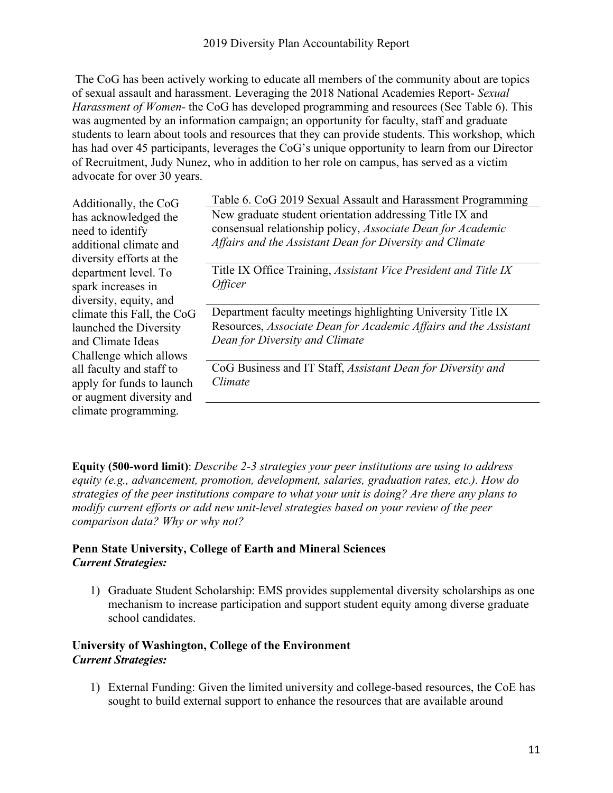## 2019 Diversity Plan Accountability Report

The CoG has been actively working to educate all members of the community about are topics of sexual assault and harassment. Leveraging the 2018 National Academies Report- *Sexual Harassment of Women-* the CoG has developed programming and resources (See Table 6). This was augmented by an information campaign; an opportunity for faculty, staff and graduate students to learn about tools and resources that they can provide students. This workshop, which has had over 45 participants, leverages the CoG's unique opportunity to learn from our Director of Recruitment, Judy Nunez, who in addition to her role on campus, has served as a victim advocate for over 30 years.

| Additionally, the CoG      | Table 6. CoG 2019 Sexual Assault and Harassment Programming      |
|----------------------------|------------------------------------------------------------------|
| has acknowledged the       | New graduate student orientation addressing Title IX and         |
| need to identify           | consensual relationship policy, Associate Dean for Academic      |
| additional climate and     | Affairs and the Assistant Dean for Diversity and Climate         |
| diversity efforts at the   |                                                                  |
| department level. To       | Title IX Office Training, Assistant Vice President and Title IX  |
| spark increases in         | <i><b>Officer</b></i>                                            |
| diversity, equity, and     |                                                                  |
| climate this Fall, the CoG | Department faculty meetings highlighting University Title IX     |
| launched the Diversity     | Resources, Associate Dean for Academic Affairs and the Assistant |
| and Climate Ideas          | Dean for Diversity and Climate                                   |
| Challenge which allows     |                                                                  |
| all faculty and staff to   | CoG Business and IT Staff, Assistant Dean for Diversity and      |
| apply for funds to launch  | Climate                                                          |
| or augment diversity and   |                                                                  |
| climate programming.       |                                                                  |

**Equity (500-word limit)**: *Describe 2-3 strategies your peer institutions are using to address equity (e.g., advancement, promotion, development, salaries, graduation rates, etc.). How do strategies of the peer institutions compare to what your unit is doing? Are there any plans to modify current efforts or add new unit-level strategies based on your review of the peer comparison data? Why or why not?*

#### **Penn State University, College of Earth and Mineral Sciences** *Current Strategies:*

1) Graduate Student Scholarship: EMS provides supplemental diversity scholarships as one mechanism to increase participation and support student equity among diverse graduate school candidates.

## **University of Washington, College of the Environment**  *Current Strategies:*

1) External Funding: Given the limited university and college-based resources, the CoE has sought to build external support to enhance the resources that are available around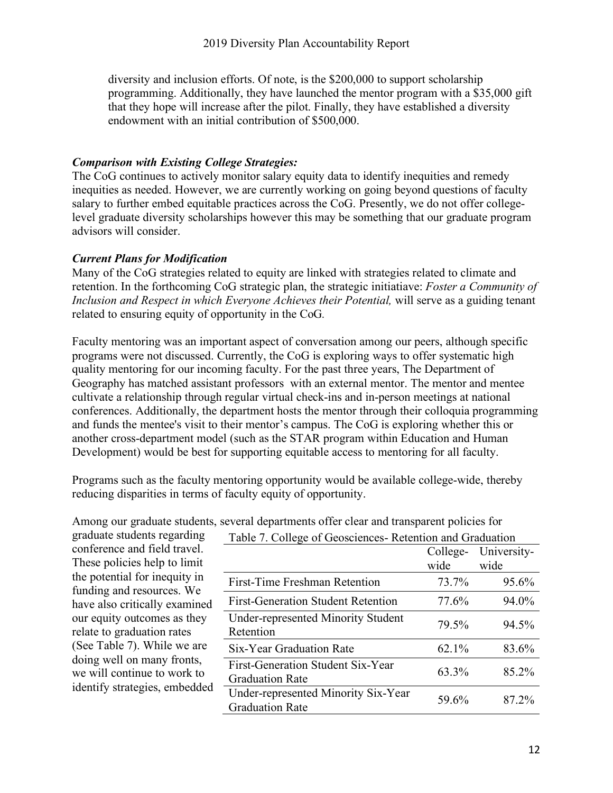diversity and inclusion efforts. Of note, is the \$200,000 to support scholarship programming. Additionally, they have launched the mentor program with a \$35,000 gift that they hope will increase after the pilot. Finally, they have established a diversity endowment with an initial contribution of \$500,000.

## *Comparison with Existing College Strategies:*

The CoG continues to actively monitor salary equity data to identify inequities and remedy inequities as needed. However, we are currently working on going beyond questions of faculty salary to further embed equitable practices across the CoG. Presently, we do not offer collegelevel graduate diversity scholarships however this may be something that our graduate program advisors will consider.

## *Current Plans for Modification*

Many of the CoG strategies related to equity are linked with strategies related to climate and retention. In the forthcoming CoG strategic plan, the strategic initiatiave: *Foster a Community of Inclusion and Respect in which Everyone Achieves their Potential,* will serve as a guiding tenant related to ensuring equity of opportunity in the CoG*.*

Faculty mentoring was an important aspect of conversation among our peers, although specific programs were not discussed. Currently, the CoG is exploring ways to offer systematic high quality mentoring for our incoming faculty. For the past three years, The Department of Geography has matched assistant professors with an external mentor. The mentor and mentee cultivate a relationship through regular virtual check-ins and in-person meetings at national conferences. Additionally, the department hosts the mentor through their colloquia programming and funds the mentee's visit to their mentor's campus. The CoG is exploring whether this or another cross-department model (such as the STAR program within Education and Human Development) would be best for supporting equitable access to mentoring for all faculty.

Programs such as the faculty mentoring opportunity would be available college-wide, thereby reducing disparities in terms of faculty equity of opportunity.

graduate students regarding conference and field travel. These policies help to limit the potential for inequity in funding and resources. We have also critically examined our equity outcomes as they relate to graduation rates (See Table 7). While we are doing well on many fronts, we will continue to work to identify strategies, embedded

| Table 7. College of Geosciences-Retention and Graduation |          |             |
|----------------------------------------------------------|----------|-------------|
|                                                          | College- | University- |
|                                                          | wide     | wide        |
| <b>First-Time Freshman Retention</b>                     | 73.7%    | 95.6%       |
| <b>First-Generation Student Retention</b>                | 77.6%    | 94.0%       |
| <b>Under-represented Minority Student</b>                | 79.5%    | 94.5%       |
| Retention                                                |          |             |
| Six-Year Graduation Rate                                 | 62.1%    | 83.6%       |
| <b>First-Generation Student Six-Year</b>                 | 63.3%    | 85.2%       |
| <b>Graduation Rate</b>                                   |          |             |
| Under-represented Minority Six-Year                      | 59.6%    | 87.2%       |
| <b>Graduation Rate</b>                                   |          |             |

Among our graduate students, several departments offer clear and transparent policies for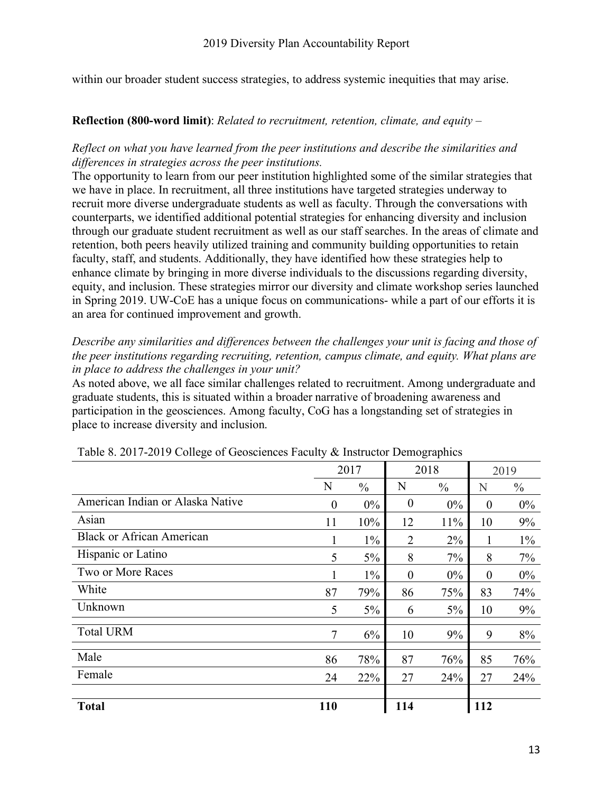within our broader student success strategies, to address systemic inequities that may arise.

## **Reflection (800-word limit)**: *Related to recruitment, retention, climate, and equity –*

## *Reflect on what you have learned from the peer institutions and describe the similarities and differences in strategies across the peer institutions.*

The opportunity to learn from our peer institution highlighted some of the similar strategies that we have in place. In recruitment, all three institutions have targeted strategies underway to recruit more diverse undergraduate students as well as faculty. Through the conversations with counterparts, we identified additional potential strategies for enhancing diversity and inclusion through our graduate student recruitment as well as our staff searches. In the areas of climate and retention, both peers heavily utilized training and community building opportunities to retain faculty, staff, and students. Additionally, they have identified how these strategies help to enhance climate by bringing in more diverse individuals to the discussions regarding diversity, equity, and inclusion. These strategies mirror our diversity and climate workshop series launched in Spring 2019. UW-CoE has a unique focus on communications- while a part of our efforts it is an area for continued improvement and growth.

## *Describe any similarities and differences between the challenges your unit is facing and those of the peer institutions regarding recruiting, retention, campus climate, and equity. What plans are in place to address the challenges in your unit?*

As noted above, we all face similar challenges related to recruitment. Among undergraduate and graduate students, this is situated within a broader narrative of broadening awareness and participation in the geosciences. Among faculty, CoG has a longstanding set of strategies in place to increase diversity and inclusion.

|                                  | 2017             |               |                  | 2018          |          | 2019          |
|----------------------------------|------------------|---------------|------------------|---------------|----------|---------------|
|                                  | N                | $\frac{0}{0}$ | N                | $\frac{0}{0}$ | N        | $\frac{0}{0}$ |
| American Indian or Alaska Native | $\boldsymbol{0}$ | $0\%$         | $\boldsymbol{0}$ | $0\%$         | $\theta$ | $0\%$         |
| Asian                            | 11               | 10%           | 12               | 11%           | 10       | 9%            |
| <b>Black or African American</b> | 1                | $1\%$         | 2                | $2\%$         | 1        | $1\%$         |
| Hispanic or Latino               | 5                | $5\%$         | 8                | 7%            | 8        | 7%            |
| Two or More Races                |                  | $1\%$         | $\theta$         | $0\%$         | $\theta$ | $0\%$         |
| White                            | 87               | 79%           | 86               | 75%           | 83       | 74%           |
| Unknown                          | 5                | 5%            | 6                | $5\%$         | 10       | 9%            |
| <b>Total URM</b>                 | 7                | 6%            | 10               | 9%            | 9        | 8%            |
| Male                             | 86               | 78%           | 87               | 76%           | 85       | 76%           |
| Female                           | 24               | 22%           | 27               | 24%           | 27       | 24%           |
| <b>Total</b>                     | <b>110</b>       |               | 114              |               | 112      |               |

Table 8. 2017-2019 College of Geosciences Faculty & Instructor Demographics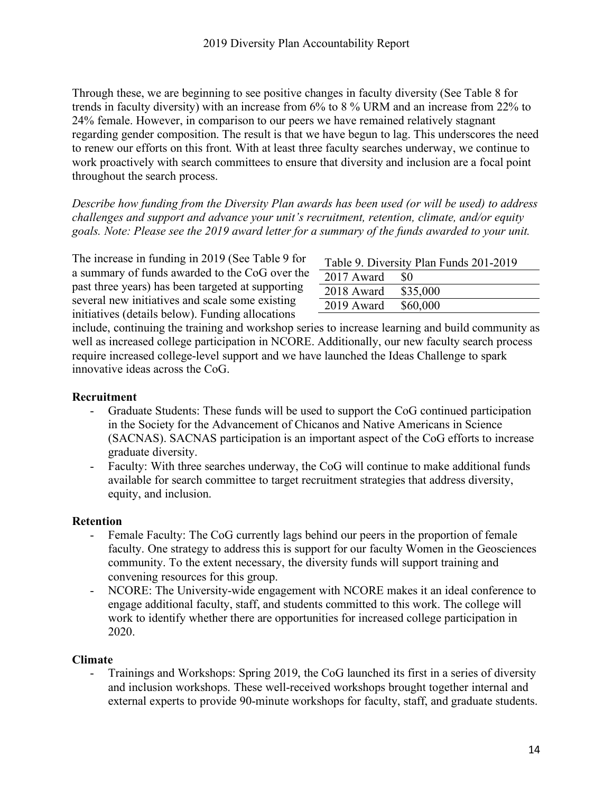Through these, we are beginning to see positive changes in faculty diversity (See Table 8 for trends in faculty diversity) with an increase from 6% to 8 % URM and an increase from 22% to 24% female. However, in comparison to our peers we have remained relatively stagnant regarding gender composition. The result is that we have begun to lag. This underscores the need to renew our efforts on this front. With at least three faculty searches underway, we continue to work proactively with search committees to ensure that diversity and inclusion are a focal point throughout the search process.

*Describe how funding from the Diversity Plan awards has been used (or will be used) to address challenges and support and advance your unit's recruitment, retention, climate, and/or equity goals. Note: Please see the 2019 award letter for a summary of the funds awarded to your unit.* 

The increase in funding in 2019 (See Table 9 for a summary of funds awarded to the CoG over the past three years) has been targeted at supporting several new initiatives and scale some existing initiatives (details below). Funding allocations

|                     | Table 9. Diversity Plan Funds 201-2019 |
|---------------------|----------------------------------------|
| $2017$ Award $\$0$  |                                        |
| 2018 Award \$35,000 |                                        |
| 2019 Award          | \$60,000                               |

include, continuing the training and workshop series to increase learning and build community as well as increased college participation in NCORE. Additionally, our new faculty search process require increased college-level support and we have launched the Ideas Challenge to spark innovative ideas across the CoG.

# **Recruitment**

- Graduate Students: These funds will be used to support the CoG continued participation in the Society for the Advancement of Chicanos and Native Americans in Science (SACNAS). SACNAS participation is an important aspect of the CoG efforts to increase graduate diversity.
- Faculty: With three searches underway, the CoG will continue to make additional funds available for search committee to target recruitment strategies that address diversity, equity, and inclusion.

# **Retention**

- Female Faculty: The CoG currently lags behind our peers in the proportion of female faculty. One strategy to address this is support for our faculty Women in the Geosciences community. To the extent necessary, the diversity funds will support training and convening resources for this group.
- NCORE: The University-wide engagement with NCORE makes it an ideal conference to engage additional faculty, staff, and students committed to this work. The college will work to identify whether there are opportunities for increased college participation in 2020.

# **Climate**

- Trainings and Workshops: Spring 2019, the CoG launched its first in a series of diversity and inclusion workshops. These well-received workshops brought together internal and external experts to provide 90-minute workshops for faculty, staff, and graduate students.